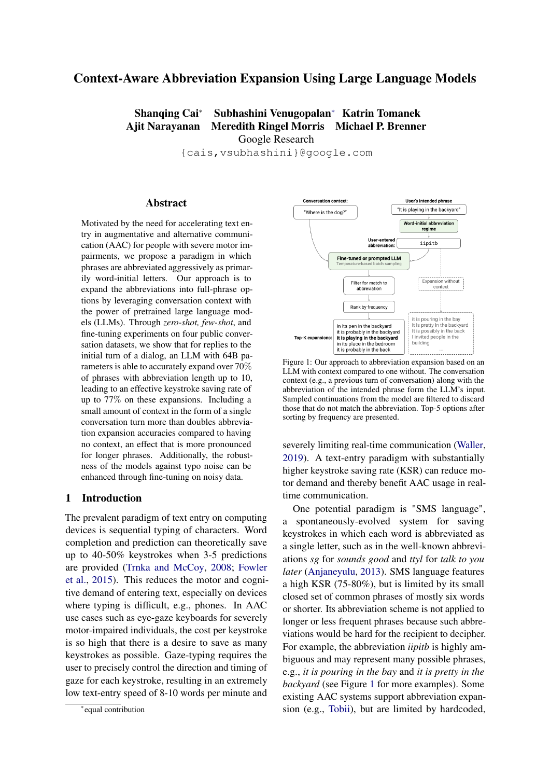# Context-Aware Abbreviation Expansion Using Large Language Models

Shanqing Cai<sup>∗</sup> Subhashini Venugopalan<sup>∗</sup> Katrin Tomanek Ajit Narayanan Meredith Ringel Morris Michael P. Brenner Google Research

{cais,vsubhashini}@google.com

#### Abstract

Motivated by the need for accelerating text entry in augmentative and alternative communication (AAC) for people with severe motor impairments, we propose a paradigm in which phrases are abbreviated aggressively as primarily word-initial letters. Our approach is to expand the abbreviations into full-phrase options by leveraging conversation context with the power of pretrained large language models (LLMs). Through *zero-shot, few-shot*, and fine-tuning experiments on four public conversation datasets, we show that for replies to the initial turn of a dialog, an LLM with 64B parameters is able to accurately expand over 70% of phrases with abbreviation length up to 10, leading to an effective keystroke saving rate of up to 77% on these expansions. Including a small amount of context in the form of a single conversation turn more than doubles abbreviation expansion accuracies compared to having no context, an effect that is more pronounced for longer phrases. Additionally, the robustness of the models against typo noise can be enhanced through fine-tuning on noisy data.

### 1 Introduction

The prevalent paradigm of text entry on computing devices is sequential typing of characters. Word completion and prediction can theoretically save up to 40-50% keystrokes when 3-5 predictions are provided [\(Trnka and McCoy,](#page-11-0) [2008;](#page-11-0) [Fowler](#page-10-0) [et al.,](#page-10-0) [2015\)](#page-10-0). This reduces the motor and cognitive demand of entering text, especially on devices where typing is difficult, e.g., phones. In AAC use cases such as eye-gaze keyboards for severely motor-impaired individuals, the cost per keystroke is so high that there is a desire to save as many keystrokes as possible. Gaze-typing requires the user to precisely control the direction and timing of gaze for each keystroke, resulting in an extremely low text-entry speed of 8-10 words per minute and

<span id="page-0-0"></span>

Figure 1: Our approach to abbreviation expansion based on an LLM with context compared to one without. The conversation context (e.g., a previous turn of conversation) along with the abbreviation of the intended phrase form the LLM's input. Sampled continuations from the model are filtered to discard those that do not match the abbreviation. Top-5 options after sorting by frequency are presented.

severely limiting real-time communication [\(Waller,](#page-11-1) [2019\)](#page-11-1). A text-entry paradigm with substantially higher keystroke saving rate (KSR) can reduce motor demand and thereby benefit AAC usage in realtime communication.

One potential paradigm is "SMS language", a spontaneously-evolved system for saving keystrokes in which each word is abbreviated as a single letter, such as in the well-known abbreviations *sg* for *sounds good* and *ttyl* for *talk to you later* [\(Anjaneyulu,](#page-9-0) [2013\)](#page-9-0). SMS language features a high KSR (75-80%), but is limited by its small closed set of common phrases of mostly six words or shorter. Its abbreviation scheme is not applied to longer or less frequent phrases because such abbreviations would be hard for the recipient to decipher. For example, the abbreviation *iipitb* is highly ambiguous and may represent many possible phrases, e.g., *it is pouring in the bay* and *it is pretty in the backyard* (see Figure [1](#page-0-0) for more examples). Some existing AAC systems support abbreviation expansion (e.g., [Tobii\)](#page-11-2), but are limited by hardcoded,

<sup>∗</sup> equal contribution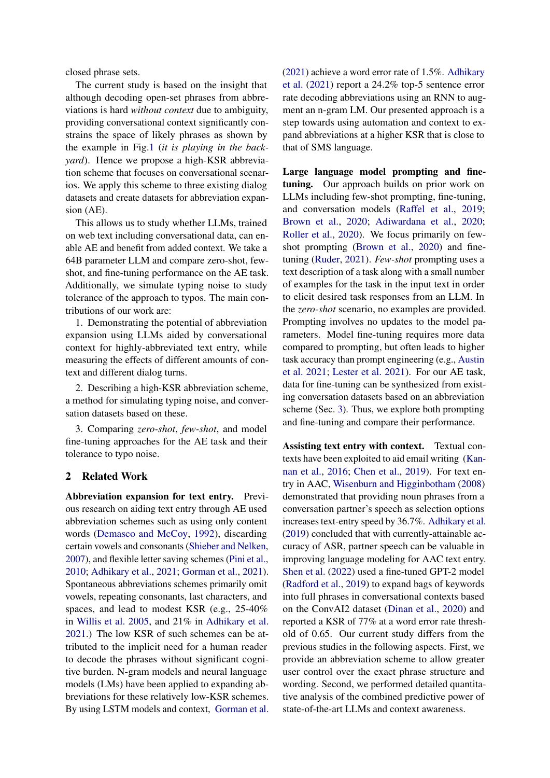closed phrase sets.

The current study is based on the insight that although decoding open-set phrases from abbreviations is hard *without context* due to ambiguity, providing conversational context significantly constrains the space of likely phrases as shown by the example in Fig[.1](#page-0-0) (*it is playing in the backyard*). Hence we propose a high-KSR abbreviation scheme that focuses on conversational scenarios. We apply this scheme to three existing dialog datasets and create datasets for abbreviation expansion (AE).

This allows us to study whether LLMs, trained on web text including conversational data, can enable AE and benefit from added context. We take a 64B parameter LLM and compare zero-shot, fewshot, and fine-tuning performance on the AE task. Additionally, we simulate typing noise to study tolerance of the approach to typos. The main contributions of our work are:

1. Demonstrating the potential of abbreviation expansion using LLMs aided by conversational context for highly-abbreviated text entry, while measuring the effects of different amounts of context and different dialog turns.

2. Describing a high-KSR abbreviation scheme, a method for simulating typing noise, and conversation datasets based on these.

3. Comparing *zero-shot*, *few-shot*, and model fine-tuning approaches for the AE task and their tolerance to typo noise.

### 2 Related Work

Abbreviation expansion for text entry. Previous research on aiding text entry through AE used abbreviation schemes such as using only content words [\(Demasco and McCoy,](#page-10-1) [1992\)](#page-10-1), discarding certain vowels and consonants [\(Shieber and Nelken,](#page-11-3) [2007\)](#page-11-3), and flexible letter saving schemes [\(Pini et al.,](#page-10-2) [2010;](#page-10-2) [Adhikary et al.,](#page-9-1) [2021;](#page-9-1) [Gorman et al.,](#page-10-3) [2021\)](#page-10-3). Spontaneous abbreviations schemes primarily omit vowels, repeating consonants, last characters, and spaces, and lead to modest KSR (e.g., 25-40% in [Willis et al.](#page-11-4) [2005,](#page-11-4) and 21% in [Adhikary et al.](#page-9-1) [2021.](#page-9-1)) The low KSR of such schemes can be attributed to the implicit need for a human reader to decode the phrases without significant cognitive burden. N-gram models and neural language models (LMs) have been applied to expanding abbreviations for these relatively low-KSR schemes. By using LSTM models and context, [Gorman et al.](#page-10-3) [\(2021\)](#page-10-3) achieve a word error rate of 1.5%. [Adhikary](#page-9-1) [et al.](#page-9-1) [\(2021\)](#page-9-1) report a 24.2% top-5 sentence error rate decoding abbreviations using an RNN to augment an n-gram LM. Our presented approach is a step towards using automation and context to expand abbreviations at a higher KSR that is close to that of SMS language.

Large language model prompting and finetuning. Our approach builds on prior work on LLMs including few-shot prompting, fine-tuning, and conversation models [\(Raffel et al.,](#page-10-4) [2019;](#page-10-4) [Brown et al.,](#page-9-2) [2020;](#page-9-2) [Adiwardana et al.,](#page-9-3) [2020;](#page-9-3) [Roller et al.,](#page-10-5) [2020\)](#page-10-5). We focus primarily on fewshot prompting [\(Brown et al.,](#page-9-2) [2020\)](#page-9-2) and finetuning [\(Ruder,](#page-10-6) [2021\)](#page-10-6). *Few-shot* prompting uses a text description of a task along with a small number of examples for the task in the input text in order to elicit desired task responses from an LLM. In the *zero-shot* scenario, no examples are provided. Prompting involves no updates to the model parameters. Model fine-tuning requires more data compared to prompting, but often leads to higher task accuracy than prompt engineering (e.g., [Austin](#page-9-4) [et al.](#page-9-4) [2021;](#page-9-4) [Lester et al.](#page-10-7) [2021\)](#page-10-7). For our AE task, data for fine-tuning can be synthesized from existing conversation datasets based on an abbreviation scheme (Sec. [3\)](#page-2-0). Thus, we explore both prompting and fine-tuning and compare their performance.

Assisting text entry with context. Textual contexts have been exploited to aid email writing [\(Kan](#page-10-8)[nan et al.,](#page-10-8) [2016;](#page-10-8) [Chen et al.,](#page-10-9) [2019\)](#page-10-9). For text entry in AAC, [Wisenburn and Higginbotham](#page-11-5) [\(2008\)](#page-11-5) demonstrated that providing noun phrases from a conversation partner's speech as selection options increases text-entry speed by 36.7%. [Adhikary et al.](#page-9-5) [\(2019\)](#page-9-5) concluded that with currently-attainable accuracy of ASR, partner speech can be valuable in improving language modeling for AAC text entry. [Shen et al.](#page-11-6) [\(2022\)](#page-11-6) used a fine-tuned GPT-2 model [\(Radford et al.,](#page-10-10) [2019\)](#page-10-10) to expand bags of keywords into full phrases in conversational contexts based on the ConvAI2 dataset [\(Dinan et al.,](#page-10-11) [2020\)](#page-10-11) and reported a KSR of 77% at a word error rate threshold of 0.65. Our current study differs from the previous studies in the following aspects. First, we provide an abbreviation scheme to allow greater user control over the exact phrase structure and wording. Second, we performed detailed quantitative analysis of the combined predictive power of state-of-the-art LLMs and context awareness.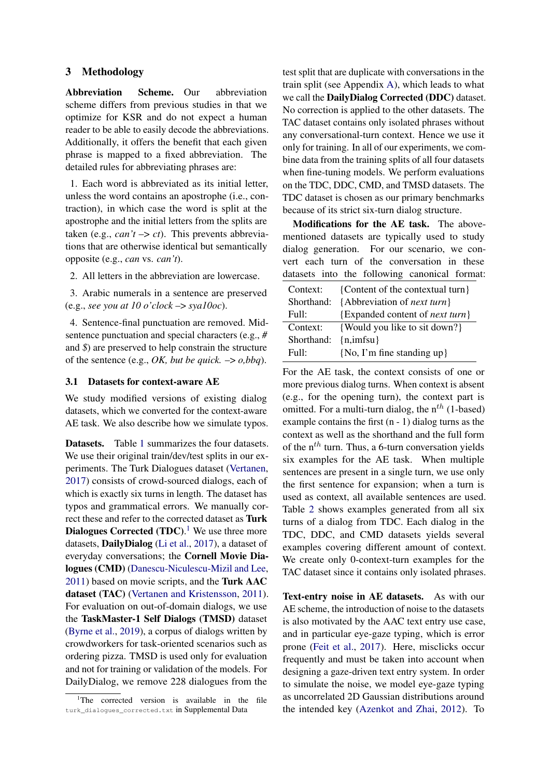### 3 Methodology

<span id="page-2-0"></span>Abbreviation Scheme. Our abbreviation scheme differs from previous studies in that we optimize for KSR and do not expect a human reader to be able to easily decode the abbreviations. Additionally, it offers the benefit that each given phrase is mapped to a fixed abbreviation. The detailed rules for abbreviating phrases are:

1. Each word is abbreviated as its initial letter, unless the word contains an apostrophe (i.e., contraction), in which case the word is split at the apostrophe and the initial letters from the splits are taken (e.g.,  $can't \rightarrow ct$ ). This prevents abbreviations that are otherwise identical but semantically opposite (e.g., *can* vs. *can't*).

2. All letters in the abbreviation are lowercase.

3. Arabic numerals in a sentence are preserved (e.g., *see you at 10 o'clock* –> *sya10oc*).

4. Sentence-final punctuation are removed. Midsentence punctuation and special characters (e.g., *#* and *\$*) are preserved to help constrain the structure of the sentence (e.g., *OK, but be quick.*  $\rightarrow$  *o,bbq*).

#### 3.1 Datasets for context-aware AE

We study modified versions of existing dialog datasets, which we converted for the context-aware AE task. We also describe how we simulate typos.

Datasets. Table [1](#page-3-0) summarizes the four datasets. We use their original train/dev/test splits in our experiments. The Turk Dialogues dataset [\(Vertanen,](#page-11-7) [2017\)](#page-11-7) consists of crowd-sourced dialogs, each of which is exactly six turns in length. The dataset has typos and grammatical errors. We manually correct these and refer to the corrected dataset as Turk Dialogues Corrected (TDC).<sup>[1](#page-2-1)</sup> We use three more datasets, DailyDialog [\(Li et al.,](#page-10-12) [2017\)](#page-10-12), a dataset of everyday conversations; the Cornell Movie Dialogues (CMD) [\(Danescu-Niculescu-Mizil and Lee,](#page-10-13) [2011\)](#page-10-13) based on movie scripts, and the Turk AAC dataset (TAC) [\(Vertanen and Kristensson,](#page-11-8) [2011\)](#page-11-8). For evaluation on out-of-domain dialogs, we use the TaskMaster-1 Self Dialogs (TMSD) dataset [\(Byrne et al.,](#page-9-6) [2019\)](#page-9-6), a corpus of dialogs written by crowdworkers for task-oriented scenarios such as ordering pizza. TMSD is used only for evaluation and not for training or validation of the models. For DailyDialog, we remove 228 dialogues from the

test split that are duplicate with conversations in the train split (see Appendix [A\)](#page-12-0), which leads to what we call the DailyDialog Corrected (DDC) dataset. No correction is applied to the other datasets. The TAC dataset contains only isolated phrases without any conversational-turn context. Hence we use it only for training. In all of our experiments, we combine data from the training splits of all four datasets when fine-tuning models. We perform evaluations on the TDC, DDC, CMD, and TMSD datasets. The TDC dataset is chosen as our primary benchmarks because of its strict six-turn dialog structure.

Modifications for the AE task. The abovementioned datasets are typically used to study dialog generation. For our scenario, we convert each turn of the conversation in these datasets into the following canonical format:

| Context:   | {Content of the contextual turn}        |
|------------|-----------------------------------------|
| Shorthand: | {Abbreviation of <i>next turn</i> }     |
| Full:      | {Expanded content of <i>next turn</i> } |
| Context:   | {Would you like to sit down?}           |
| Shorthand: | $\{n, \text{imfsu}\}\$                  |
| Full:      | $\{No, I'm fine standing up\}$          |

For the AE task, the context consists of one or more previous dialog turns. When context is absent (e.g., for the opening turn), the context part is omitted. For a multi-turn dialog, the  $n^{th}$  (1-based) example contains the first (n - 1) dialog turns as the context as well as the shorthand and the full form of the  $n^{th}$  turn. Thus, a 6-turn conversation yields six examples for the AE task. When multiple sentences are present in a single turn, we use only the first sentence for expansion; when a turn is used as context, all available sentences are used. Table [2](#page-3-1) shows examples generated from all six turns of a dialog from TDC. Each dialog in the TDC, DDC, and CMD datasets yields several examples covering different amount of context. We create only 0-context-turn examples for the TAC dataset since it contains only isolated phrases.

Text-entry noise in AE datasets. As with our AE scheme, the introduction of noise to the datasets is also motivated by the AAC text entry use case, and in particular eye-gaze typing, which is error prone [\(Feit et al.,](#page-10-14) [2017\)](#page-10-14). Here, misclicks occur frequently and must be taken into account when designing a gaze-driven text entry system. In order to simulate the noise, we model eye-gaze typing as uncorrelated 2D Gaussian distributions around the intended key [\(Azenkot and Zhai,](#page-9-7) [2012\)](#page-9-7). To

<span id="page-2-1"></span><sup>&</sup>lt;sup>1</sup>The corrected version is available in the file turk\_dialogues\_corrected.txt in Supplemental Data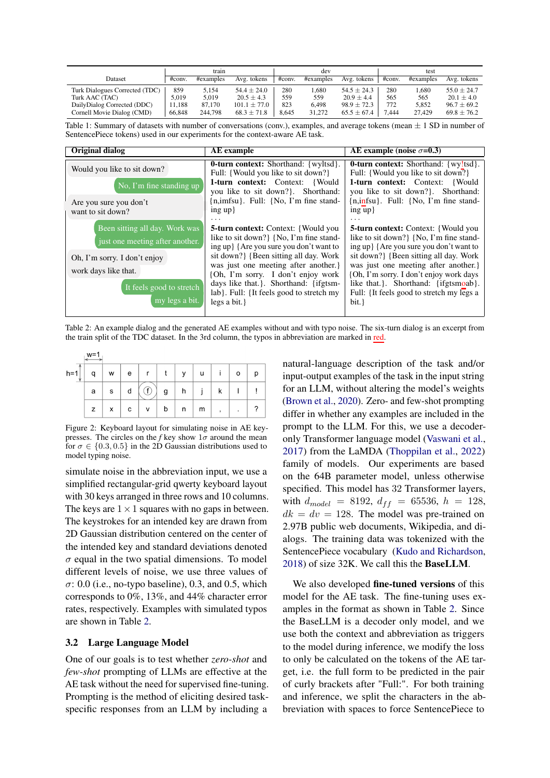<span id="page-3-0"></span>

|                                |        | train     |                  |        | dev       |                 |        | test      |                 |
|--------------------------------|--------|-----------|------------------|--------|-----------|-----------------|--------|-----------|-----------------|
| Dataset                        | #conv. | #examples | Avg. tokens      | #conv. | #examples | Avg. tokens     | #conv. | #examples | Avg. tokens     |
| Turk Dialogues Corrected (TDC) | 859    | 5.154     | $54.4 + 24.0$    | 280    | .680      | $54.5 \pm 24.3$ | 280    | .680      | $55.0 + 24.7$   |
| Turk AAC (TAC)                 | 5.019  | 5.019     | $20.5 \pm 4.3$   | 559    | 559       | $20.9 \pm 4.4$  | 565    | 565       | $20.1 \pm 4.0$  |
| DailyDialog Corrected (DDC)    | 11.188 | 87,170    | $101.1 \pm 77.0$ | 823    | 6.498     | $98.9 \pm 72.3$ | 772    | 5.852     | $96.7 \pm 69.2$ |
| Cornell Movie Dialog (CMD)     | 66,848 | 244,798   | $68.3 \pm 71.8$  | 8.645  | 31.272    | $65.5 \pm 67.4$ | 7.444  | 27.429    | $69.8 \pm 76.2$ |

Table 1: Summary of datasets with number of conversations (conv.), examples, and average tokens (mean  $\pm$  1 SD in number of SentencePiece tokens) used in our experiments for the context-aware AE task.

<span id="page-3-1"></span>

| <b>Original dialog</b>                                                                                                                                                  | AE example                                                                                                                                                                                                                                                                                                                                                     | AE example (noise $\sigma$ =0.3)                                                                                                                                                                                                                                                                                                                     |
|-------------------------------------------------------------------------------------------------------------------------------------------------------------------------|----------------------------------------------------------------------------------------------------------------------------------------------------------------------------------------------------------------------------------------------------------------------------------------------------------------------------------------------------------------|------------------------------------------------------------------------------------------------------------------------------------------------------------------------------------------------------------------------------------------------------------------------------------------------------------------------------------------------------|
| Would you like to sit down?                                                                                                                                             | <b>0-turn context:</b> Shorthand: {wyltsd}.<br>Full: {Would you like to sit down?}<br><b>1-turn context:</b> Context:<br>{Would                                                                                                                                                                                                                                | <b>0-turn context:</b> Shorthand: {wy!tsd}.<br>Full: {Would you like to sit down?}<br>1-turn context: Context: {Would}                                                                                                                                                                                                                               |
| No, I'm fine standing up                                                                                                                                                | you like to sit down?}. Shorthand:                                                                                                                                                                                                                                                                                                                             | you like to sit down?}. Shorthand:                                                                                                                                                                                                                                                                                                                   |
| Are you sure you don't<br>want to sit down?                                                                                                                             | $\{n, \text{imfsu}\}\$ . Full: $\{No, I'm \text{ fine stand-}$<br>ing up                                                                                                                                                                                                                                                                                       | $\{n, \text{infsu}\}\$ . Full: {No, I'm fine stand-<br>ing up                                                                                                                                                                                                                                                                                        |
| Been sitting all day. Work was<br>just one meeting after another.<br>Oh, I'm sorry. I don't enjoy<br>work days like that.<br>It feels good to stretch<br>my legs a bit. | <b>5-turn context:</b> Context: {Would you<br>like to sit down? {No, I'm fine stand-<br>ing up { Are you sure you don't want to<br>sit down? {Been sitting all day. Work<br>was just one meeting after another.<br>{Oh, I'm sorry. I don't enjoy work<br>days like that.}. Shorthand: {ifgtsm-<br>lab}. Full: {It feels good to stretch my<br>legs a bit. $\}$ | <b>5-turn context:</b> Context: {Would you<br>like to sit down? {No, I'm fine stand-<br>ing up { Are you sure you don't want to<br>sit down? {Been sitting all day. Work<br>was just one meeting after another.<br>{Oh, I'm sorry. I don't enjoy work days<br>like that Shorthand: {ifgtsmoab}.<br>Full: {It feels good to stretch my legs a<br>bit. |

Table 2: An example dialog and the generated AE examples without and with typo noise. The six-turn dialog is an excerpt from the train split of the TDC dataset. In the 3rd column, the typos in abbreviation are marked in red.

|            | $w =$ |   |   |   |   |              |   |   |         |   |
|------------|-------|---|---|---|---|--------------|---|---|---------|---|
| $h=1$<br>J |       | W | e | r |   | $\mathsf{v}$ | u |   | $\circ$ | D |
|            | a     | s | d |   | g | h            |   | κ |         |   |
|            | z     | x | C | v | b | n            | m | , | ٠       |   |

Figure 2: Keyboard layout for simulating noise in AE keypresses. The circles on the *f* key show  $1\sigma$  around the mean for  $\sigma \in \{0.3, 0.5\}$  in the 2D Gaussian distributions used to model typing noise.

simulate noise in the abbreviation input, we use a simplified rectangular-grid qwerty keyboard layout with 30 keys arranged in three rows and 10 columns. The keys are  $1 \times 1$  squares with no gaps in between. The keystrokes for an intended key are drawn from 2D Gaussian distribution centered on the center of the intended key and standard deviations denoted  $\sigma$  equal in the two spatial dimensions. To model different levels of noise, we use three values of  $\sigma$ : 0.0 (i.e., no-typo baseline), 0.3, and 0.5, which corresponds to 0%, 13%, and 44% character error rates, respectively. Examples with simulated typos are shown in Table [2.](#page-3-1)

### <span id="page-3-2"></span>3.2 Large Language Model

One of our goals is to test whether *zero-shot* and *few-shot* prompting of LLMs are effective at the AE task without the need for supervised fine-tuning. Prompting is the method of eliciting desired taskspecific responses from an LLM by including a

natural-language description of the task and/or input-output examples of the task in the input string for an LLM, without altering the model's weights [\(Brown et al.,](#page-9-2) [2020\)](#page-9-2). Zero- and few-shot prompting differ in whether any examples are included in the prompt to the LLM. For this, we use a decoderonly Transformer language model [\(Vaswani et al.,](#page-11-9) [2017\)](#page-11-9) from the LaMDA [\(Thoppilan et al.,](#page-11-10) [2022\)](#page-11-10) family of models. Our experiments are based on the 64B parameter model, unless otherwise specified. This model has 32 Transformer layers, with  $d_{model} = 8192, d_{ff} = 65536, h = 128,$  $dk = dv = 128$ . The model was pre-trained on 2.97B public web documents, Wikipedia, and dialogs. The training data was tokenized with the SentencePiece vocabulary [\(Kudo and Richardson,](#page-10-15) [2018\)](#page-10-15) of size 32K. We call this the BaseLLM.

We also developed fine-tuned versions of this model for the AE task. The fine-tuning uses examples in the format as shown in Table [2.](#page-3-1) Since the BaseLLM is a decoder only model, and we use both the context and abbreviation as triggers to the model during inference, we modify the loss to only be calculated on the tokens of the AE target, i.e. the full form to be predicted in the pair of curly brackets after "Full:". For both training and inference, we split the characters in the abbreviation with spaces to force SentencePiece to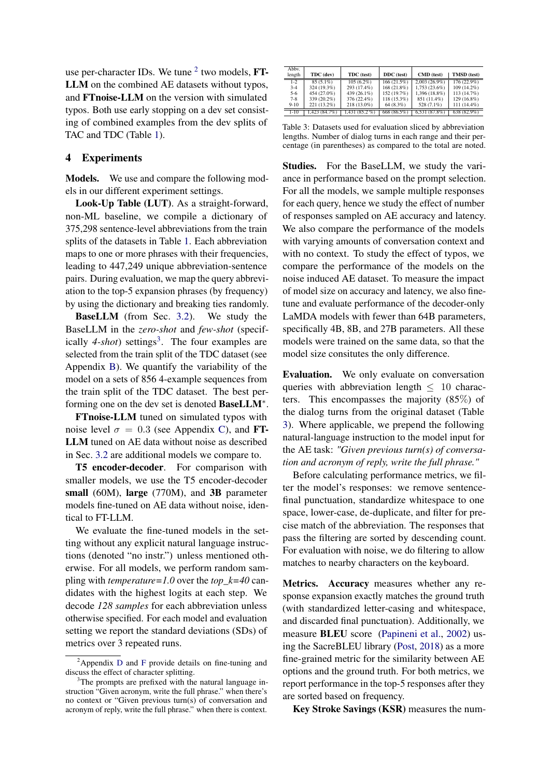use per-character IDs. We tune  $2$  two models, FT-LLM on the combined AE datasets without typos, and FTnoise-LLM on the version with simulated typos. Both use early stopping on a dev set consisting of combined examples from the dev splits of TAC and TDC (Table [1\)](#page-3-0).

### <span id="page-4-3"></span>4 Experiments

Models. We use and compare the following models in our different experiment settings.

Look-Up Table (LUT). As a straight-forward, non-ML baseline, we compile a dictionary of 375,298 sentence-level abbreviations from the train splits of the datasets in Table [1.](#page-3-0) Each abbreviation maps to one or more phrases with their frequencies, leading to 447,249 unique abbreviation-sentence pairs. During evaluation, we map the query abbreviation to the top-5 expansion phrases (by frequency) by using the dictionary and breaking ties randomly.

BaseLLM (from Sec. [3.2\)](#page-3-2). We study the BaseLLM in the *zero-shot* and *few-shot* (specif-ically 4-shot) settings<sup>[3](#page-4-1)</sup>. The four examples are selected from the train split of the TDC dataset (see Appendix [B\)](#page-12-1). We quantify the variability of the model on a sets of 856 4-example sequences from the train split of the TDC dataset. The best performing one on the dev set is denoted BaseLLM<sup>\*</sup>.

FTnoise-LLM tuned on simulated typos with noise level  $\sigma = 0.3$  (see Appendix [C\)](#page-12-2), and **FT**-LLM tuned on AE data without noise as described in Sec. [3.2](#page-3-2) are additional models we compare to.

T5 encoder-decoder. For comparison with smaller models, we use the T5 encoder-decoder small (60M), large (770M), and 3B parameter models fine-tuned on AE data without noise, identical to FT-LLM.

We evaluate the fine-tuned models in the setting without any explicit natural language instructions (denoted "no instr.") unless mentioned otherwise. For all models, we perform random sampling with *temperature=1.0* over the *top\_k=40* candidates with the highest logits at each step. We decode *128 samples* for each abbreviation unless otherwise specified. For each model and evaluation setting we report the standard deviations (SDs) of metrics over 3 repeated runs.

<span id="page-4-2"></span>

| Abby.<br>length                                  | TDC (dev)                                                               | TDC (test)                                                               | DDC (test)                                                            | CMD (test)                                                                     | TMSD (test)                                                               |
|--------------------------------------------------|-------------------------------------------------------------------------|--------------------------------------------------------------------------|-----------------------------------------------------------------------|--------------------------------------------------------------------------------|---------------------------------------------------------------------------|
| $1 - 2$<br>$3-4$<br>$5-6$<br>$7 - 8$<br>$9 - 10$ | $85(5.1\%)$<br>324 (19.3%)<br>454 (27.0%)<br>339 (20.2%)<br>221 (13.2%) | $105(6.2\%)$<br>293 (17.4%)<br>439 (26.1%)<br>376 (22.4%)<br>218 (13.0%) | 166 (21.5%)<br>168 (21.8%)<br>152 (19.7%)<br>118 (15.3%)<br>64 (8.3%) | $2,003(26.9\%)$<br>1,753 (23.6%)<br>1.396 (18.8%)<br>851 (11.4%)<br>528 (7.1%) | $176(22.9\%)$<br>109 (14.2%)<br>113 (14.7%)<br>129 (16.8%)<br>111 (14.4%) |
| $1 - 10$                                         | 1.423 (84.7%)                                                           | 1.431 (85.2 %)                                                           | 668 (86.5%)                                                           | 6.531(87.8%)                                                                   | 638 (82.9%)                                                               |

Table 3: Datasets used for evaluation sliced by abbreviation lengths. Number of dialog turns in each range and their percentage (in parentheses) as compared to the total are noted.

Studies. For the BaseLLM, we study the variance in performance based on the prompt selection. For all the models, we sample multiple responses for each query, hence we study the effect of number of responses sampled on AE accuracy and latency. We also compare the performance of the models with varying amounts of conversation context and with no context. To study the effect of typos, we compare the performance of the models on the noise induced AE dataset. To measure the impact of model size on accuracy and latency, we also finetune and evaluate performance of the decoder-only LaMDA models with fewer than 64B parameters, specifically 4B, 8B, and 27B parameters. All these models were trained on the same data, so that the model size consitutes the only difference.

Evaluation. We only evaluate on conversation queries with abbreviation length  $\leq 10$  characters. This encompasses the majority (85%) of the dialog turns from the original dataset (Table [3\)](#page-4-2). Where applicable, we prepend the following natural-language instruction to the model input for the AE task: *"Given previous turn(s) of conversation and acronym of reply, write the full phrase."*

Before calculating performance metrics, we filter the model's responses: we remove sentencefinal punctuation, standardize whitespace to one space, lower-case, de-duplicate, and filter for precise match of the abbreviation. The responses that pass the filtering are sorted by descending count. For evaluation with noise, we do filtering to allow matches to nearby characters on the keyboard.

Metrics. Accuracy measures whether any response expansion exactly matches the ground truth (with standardized letter-casing and whitespace, and discarded final punctuation). Additionally, we measure BLEU score [\(Papineni et al.,](#page-10-16) [2002\)](#page-10-16) using the SacreBLEU library [\(Post,](#page-10-17) [2018\)](#page-10-17) as a more fine-grained metric for the similarity between AE options and the ground truth. For both metrics, we report performance in the top-5 responses after they are sorted based on frequency.

Key Stroke Savings (KSR) measures the num-

<span id="page-4-0"></span><sup>&</sup>lt;sup>2</sup>Appendix [D](#page-12-3) and [F](#page-12-4) provide details on fine-tuning and discuss the effect of character splitting.

<span id="page-4-1"></span><sup>&</sup>lt;sup>3</sup>The prompts are prefixed with the natural language instruction "Given acronym, write the full phrase." when there's no context or "Given previous turn(s) of conversation and acronym of reply, write the full phrase." when there is context.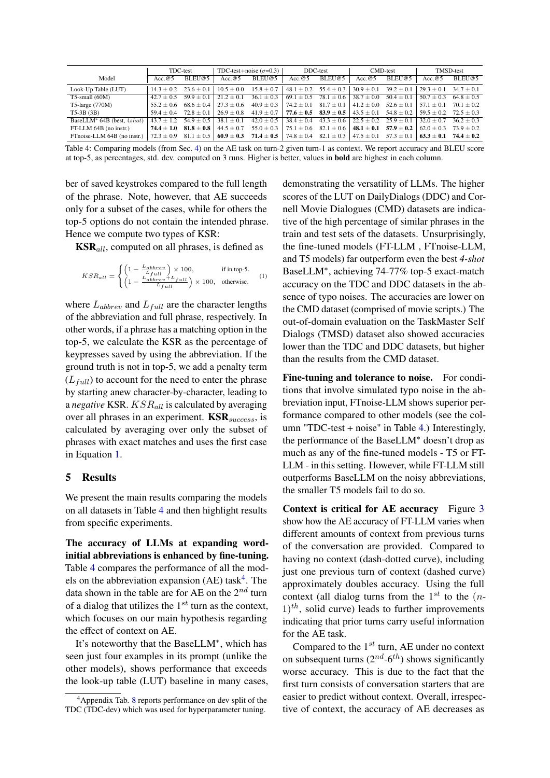<span id="page-5-1"></span>

|                                        |                | TDC-test       | TDC-test+noise $(\sigma=0.3)$ |                | DDC-test       |                               | CMD-test       |                | <b>TMSD-test</b> |                |
|----------------------------------------|----------------|----------------|-------------------------------|----------------|----------------|-------------------------------|----------------|----------------|------------------|----------------|
| Model                                  | Acc.@5         | BLEU@5         | Acc.@5                        | BLEU@5         | Acc. $@5$      | BLEU@5                        | Acc. $@5$      | BLEU@5         | Acc. $@5$        | BLEU@5         |
| Look-Up Table (LUT)                    | $14.3 + 0.2$   | $23.6 + 0.1$   | $10.5 + 0.0$                  | $15.8 \pm 0.7$ | $48.1 \pm 0.2$ | $55.4 \pm 0.3$                | $30.9 + 0.1$   | $39.2 \pm 0.1$ | $29.3 + 0.1$     | $34.7 + 0.1$   |
| $T5$ -small $(60M)$                    | $42.7 + 0.5$   | $59.9 \pm 0.1$ | $21.2 + 0.1$                  | $36.1 \pm 0.3$ | $69.1 \pm 0.5$ | $78.1 \pm 0.6$                | $38.7 \pm 0.0$ | $50.4 \pm 0.1$ | $50.7 + 0.3$     | $64.8 + 0.5$   |
| T5-large $(770M)$                      | $55.2 + 0.6$   | $68.6 + 0.4$   | $27.3 + 0.6$                  | $40.9 \pm 0.3$ | $74.2 + 0.1$   | $81.7 + 0.1$                  | $41.2 + 0.0$   | $52.6 + 0.1$   | $57.1 + 0.1$     | $70.1 + 0.2$   |
| $T5-3B(3B)$                            | $59.4 + 0.4$   | $72.8 + 0.1$   | $26.9 \pm 0.8$                | $41.9 \pm 0.7$ |                | 77.6 $\pm$ 0.5 83.9 $\pm$ 0.5 | $43.5 \pm 0.1$ | $54.8 \pm 0.2$ | $59.5 + 0.2$     | $72.5 + 0.3$   |
| BaseLLM <sup>*</sup> 64B (best, 4shot) | $43.7 + 1.2$   | $54.9 + 0.5$   | $38.1 + 0.1$                  | $42.0 \pm 0.5$ | $38.4 \pm 0.4$ | $43.3 \pm 0.6$                | $22.5 + 0.2$   | $25.9 + 0.1$   | $32.0 + 0.7$     | $36.2 + 0.3$   |
| FT-LLM 64B (no instr.)                 | $74.4 + 1.0$   | $81.8 \pm 0.8$ | $44.5 \pm 0.7$                | $55.0 \pm 0.3$ | $75.1 \pm 0.6$ | $82.1 \pm 0.6$                | $48.1 + 0.1$   | $57.9 \pm 0.2$ | $62.0 + 0.3$     | $73.9 + 0.2$   |
| FTnoise-LLM 64B (no instr.)            | $72.3 \pm 0.9$ | $81.1 \pm 0.5$ | $60.9 \pm 0.3$                | $71.4 \pm 0.5$ | $74.8 \pm 0.4$ | $82.1 \pm 0.3$                | $47.5 \pm 0.1$ | $57.3 \pm 0.1$ | $63.3 + 0.1$     | $74.4 \pm 0.2$ |

Table 4: Comparing models (from Sec. [4\)](#page-4-3) on the AE task on turn-2 given turn-1 as context. We report accuracy and BLEU score at top-5, as percentages, std. dev. computed on 3 runs. Higher is better, values in bold are highest in each column.

ber of saved keystrokes compared to the full length of the phrase. Note, however, that AE succeeds only for a subset of the cases, while for others the top-5 options do not contain the intended phrase. Hence we compute two types of KSR:

 $KSR_{all}$ , computed on all phrases, is defined as

$$
KSR_{all} = \begin{cases} \left(1 - \frac{L_{abbrev}}{L_{full}}\right) \times 100, & \text{if in top-5.}\\ \left(1 - \frac{L_{abbrev} + L_{full}}{L_{full}}\right) \times 100, & \text{otherwise.} \end{cases}
$$
 (1)

where  $L_{abbrev}$  and  $L_{full}$  are the character lengths of the abbreviation and full phrase, respectively. In other words, if a phrase has a matching option in the top-5, we calculate the KSR as the percentage of keypresses saved by using the abbreviation. If the ground truth is not in top-5, we add a penalty term  $(L_{full})$  to account for the need to enter the phrase by starting anew character-by-character, leading to a *negative* KSR.  $KSR_{all}$  is calculated by averaging over all phrases in an experiment.  $\text{KSR}_{success}$ , is calculated by averaging over only the subset of phrases with exact matches and uses the first case in Equation [1.](#page-5-0)

### 5 Results

We present the main results comparing the models on all datasets in Table [4](#page-5-1) and then highlight results from specific experiments.

The accuracy of LLMs at expanding wordinitial abbreviations is enhanced by fine-tuning. Table [4](#page-5-1) compares the performance of all the mod-els on the abbreviation expansion (AE) task<sup>[4](#page-5-2)</sup>. The data shown in the table are for AE on the  $2^{nd}$  turn of a dialog that utilizes the  $1^{st}$  turn as the context, which focuses on our main hypothesis regarding the effect of context on AE.

It's noteworthy that the BaseLLM<sup>∗</sup> , which has seen just four examples in its prompt (unlike the other models), shows performance that exceeds the look-up table (LUT) baseline in many cases, <span id="page-5-0"></span>demonstrating the versatility of LLMs. The higher scores of the LUT on DailyDialogs (DDC) and Cornell Movie Dialogues (CMD) datasets are indicative of the high percentage of similar phrases in the train and test sets of the datasets. Unsurprisingly, the fine-tuned models (FT-LLM , FTnoise-LLM, and T5 models) far outperform even the best *4-shot* BaseLLM<sup>∗</sup> , achieving 74-77% top-5 exact-match accuracy on the TDC and DDC datasets in the absence of typo noises. The accuracies are lower on the CMD dataset (comprised of movie scripts.) The out-of-domain evaluation on the TaskMaster Self Dialogs (TMSD) dataset also showed accuracies lower than the TDC and DDC datasets, but higher than the results from the CMD dataset.

Fine-tuning and tolerance to noise. For conditions that involve simulated typo noise in the abbreviation input, FTnoise-LLM shows superior performance compared to other models (see the column "TDC-test + noise" in Table [4.](#page-5-1)) Interestingly, the performance of the BaseLLM<sup>∗</sup> doesn't drop as much as any of the fine-tuned models - T5 or FT-LLM - in this setting. However, while FT-LLM still outperforms BaseLLM on the noisy abbreviations, the smaller T5 models fail to do so.

Context is critical for AE accuracy Figure [3](#page-6-0) show how the AE accuracy of FT-LLM varies when different amounts of context from previous turns of the conversation are provided. Compared to having no context (dash-dotted curve), including just one previous turn of context (dashed curve) approximately doubles accuracy. Using the full context (all dialog turns from the  $1^{st}$  to the  $(n 1$ <sup>th</sup>, solid curve) leads to further improvements indicating that prior turns carry useful information for the AE task.

Compared to the  $1^{st}$  turn, AE under no context on subsequent turns  $(2^{nd} - 6^{th})$  shows significantly worse accuracy. This is due to the fact that the first turn consists of conversation starters that are easier to predict without context. Overall, irrespective of context, the accuracy of AE decreases as

<span id="page-5-2"></span><sup>&</sup>lt;sup>4</sup>Appendix Tab. [8](#page-14-0) reports performance on dev split of the TDC (TDC-dev) which was used for hyperparameter tuning.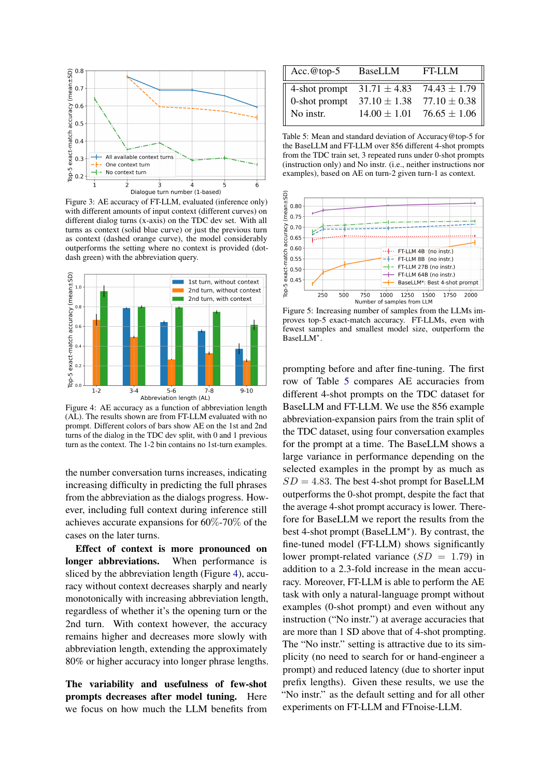<span id="page-6-0"></span>

Figure 3: AE accuracy of FT-LLM, evaluated (inference only) with different amounts of input context (different curves) on different dialog turns (x-axis) on the TDC dev set. With all turns as context (solid blue curve) or just the previous turn as context (dashed orange curve), the model considerably outperforms the setting where no context is provided (dotdash green) with the abbreviation query.

<span id="page-6-1"></span>

Figure 4: AE accuracy as a function of abbreviation length (AL). The results shown are from FT-LLM evaluated with no prompt. Different colors of bars show AE on the 1st and 2nd turns of the dialog in the TDC dev split, with 0 and 1 previous turn as the context. The 1-2 bin contains no 1st-turn examples.

the number conversation turns increases, indicating increasing difficulty in predicting the full phrases from the abbreviation as the dialogs progress. However, including full context during inference still achieves accurate expansions for 60%-70% of the cases on the later turns.

Effect of context is more pronounced on longer abbreviations. When performance is sliced by the abbreviation length (Figure [4\)](#page-6-1), accuracy without context decreases sharply and nearly monotonically with increasing abbreviation length, regardless of whether it's the opening turn or the 2nd turn. With context however, the accuracy remains higher and decreases more slowly with abbreviation length, extending the approximately 80% or higher accuracy into longer phrase lengths.

The variability and usefulness of few-shot prompts decreases after model tuning. Here we focus on how much the LLM benefits from

<span id="page-6-2"></span>

| BaseLLM | $FT-LM$                                         |
|---------|-------------------------------------------------|
|         | 4-shot prompt $31.71 \pm 4.83$ $74.43 \pm 1.79$ |
|         |                                                 |
|         | $14.00 \pm 1.01$ 76.65 $\pm$ 1.06               |
|         | 0-shot prompt $37.10 \pm 1.38$ $77.10 \pm 0.38$ |

Table 5: Mean and standard deviation of Accuracy@top-5 for the BaseLLM and FT-LLM over 856 different 4-shot prompts from the TDC train set, 3 repeated runs under 0-shot prompts (instruction only) and No instr. (i.e., neither instructions nor examples), based on AE on turn-2 given turn-1 as context.

<span id="page-6-3"></span>

Figure 5: Increasing number of samples from the LLMs improves top-5 exact-match accuracy. FT-LLMs, even with fewest samples and smallest model size, outperform the BaseLLM<sup>∗</sup> .

prompting before and after fine-tuning. The first row of Table [5](#page-6-2) compares AE accuracies from different 4-shot prompts on the TDC dataset for BaseLLM and FT-LLM. We use the 856 example abbreviation-expansion pairs from the train split of the TDC dataset, using four conversation examples for the prompt at a time. The BaseLLM shows a large variance in performance depending on the selected examples in the prompt by as much as  $SD = 4.83$ . The best 4-shot prompt for BaseLLM outperforms the 0-shot prompt, despite the fact that the average 4-shot prompt accuracy is lower. Therefore for BaseLLM we report the results from the best 4-shot prompt (BaseLLM<sup>∗</sup> ). By contrast, the fine-tuned model (FT-LLM) shows significantly lower prompt-related variance  $(SD = 1.79)$  in addition to a 2.3-fold increase in the mean accuracy. Moreover, FT-LLM is able to perform the AE task with only a natural-language prompt without examples (0-shot prompt) and even without any instruction ("No instr.") at average accuracies that are more than 1 SD above that of 4-shot prompting. The "No instr." setting is attractive due to its simplicity (no need to search for or hand-engineer a prompt) and reduced latency (due to shorter input prefix lengths). Given these results, we use the "No instr." as the default setting and for all other experiments on FT-LLM and FTnoise-LLM.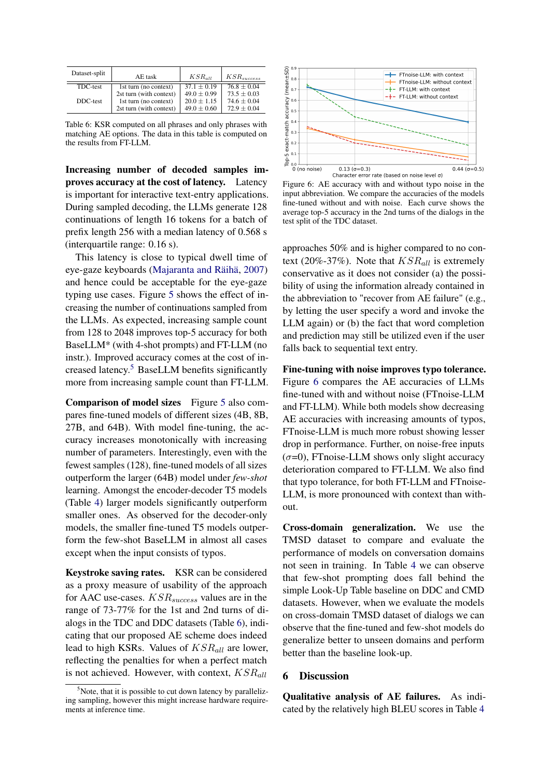<span id="page-7-1"></span>

| Dataset-split | AE task                                                                     | $KSR_{all}$                                         | $KSR_{success}$                                 |
|---------------|-----------------------------------------------------------------------------|-----------------------------------------------------|-------------------------------------------------|
| TDC-test      | 1st turn (no context)                                                       | $37.1 + 0.19$                                       | $76.8 + 0.04$                                   |
| DDC-test      | 2st turn (with context)<br>1st turn (no context)<br>2st turn (with context) | $49.0 \pm 0.99$<br>$20.0 + 1.15$<br>$49.0 \pm 0.60$ | $73.5 + 0.03$<br>$74.6 + 0.04$<br>$72.9 + 0.04$ |

Table 6: KSR computed on all phrases and only phrases with matching AE options. The data in this table is computed on the results from FT-LLM.

Increasing number of decoded samples improves accuracy at the cost of latency. Latency is important for interactive text-entry applications. During sampled decoding, the LLMs generate 128 continuations of length 16 tokens for a batch of prefix length 256 with a median latency of 0.568 s (interquartile range: 0.16 s).

This latency is close to typical dwell time of eye-gaze keyboards [\(Majaranta and Räihä,](#page-10-18) [2007\)](#page-10-18) and hence could be acceptable for the eye-gaze typing use cases. Figure [5](#page-6-3) shows the effect of increasing the number of continuations sampled from the LLMs. As expected, increasing sample count from 128 to 2048 improves top-5 accuracy for both BaseLLM\* (with 4-shot prompts) and FT-LLM (no instr.). Improved accuracy comes at the cost of increased latency.[5](#page-7-0) BaseLLM benefits significantly more from increasing sample count than FT-LLM.

Comparison of model sizes Figure [5](#page-6-3) also compares fine-tuned models of different sizes (4B, 8B, 27B, and 64B). With model fine-tuning, the accuracy increases monotonically with increasing number of parameters. Interestingly, even with the fewest samples (128), fine-tuned models of all sizes outperform the larger (64B) model under *few-shot* learning. Amongst the encoder-decoder T5 models (Table [4\)](#page-5-1) larger models significantly outperform smaller ones. As observed for the decoder-only models, the smaller fine-tuned T5 models outperform the few-shot BaseLLM in almost all cases except when the input consists of typos.

Keystroke saving rates. KSR can be considered as a proxy measure of usability of the approach for AAC use-cases.  $KSR_{success}$  values are in the range of 73-77% for the 1st and 2nd turns of dialogs in the TDC and DDC datasets (Table [6\)](#page-7-1), indicating that our proposed AE scheme does indeed lead to high KSRs. Values of  $KSR_{all}$  are lower, reflecting the penalties for when a perfect match is not achieved. However, with context,  $KSR_{all}$ 

<span id="page-7-2"></span>

Figure 6: AE accuracy with and without typo noise in the input abbreviation. We compare the accuracies of the models fine-tuned without and with noise. Each curve shows the average top-5 accuracy in the 2nd turns of the dialogs in the test split of the TDC dataset.

approaches 50% and is higher compared to no context (20%-37%). Note that  $KSR_{all}$  is extremely conservative as it does not consider (a) the possibility of using the information already contained in the abbreviation to "recover from AE failure" (e.g., by letting the user specify a word and invoke the LLM again) or (b) the fact that word completion and prediction may still be utilized even if the user falls back to sequential text entry.

Fine-tuning with noise improves typo tolerance. Figure [6](#page-7-2) compares the AE accuracies of LLMs fine-tuned with and without noise (FTnoise-LLM and FT-LLM). While both models show decreasing AE accuracies with increasing amounts of typos, FTnoise-LLM is much more robust showing lesser drop in performance. Further, on noise-free inputs  $(\sigma=0)$ , FTnoise-LLM shows only slight accuracy deterioration compared to FT-LLM. We also find that typo tolerance, for both FT-LLM and FTnoise-LLM, is more pronounced with context than without.

Cross-domain generalization. We use the TMSD dataset to compare and evaluate the performance of models on conversation domains not seen in training. In Table [4](#page-5-1) we can observe that few-shot prompting does fall behind the simple Look-Up Table baseline on DDC and CMD datasets. However, when we evaluate the models on cross-domain TMSD dataset of dialogs we can observe that the fine-tuned and few-shot models do generalize better to unseen domains and perform better than the baseline look-up.

#### 6 Discussion

Qualitative analysis of AE failures. As indicated by the relatively high BLEU scores in Table [4](#page-5-1)

<span id="page-7-0"></span> $5$ Note, that it is possible to cut down latency by parallelizing sampling, however this might increase hardware requirements at inference time.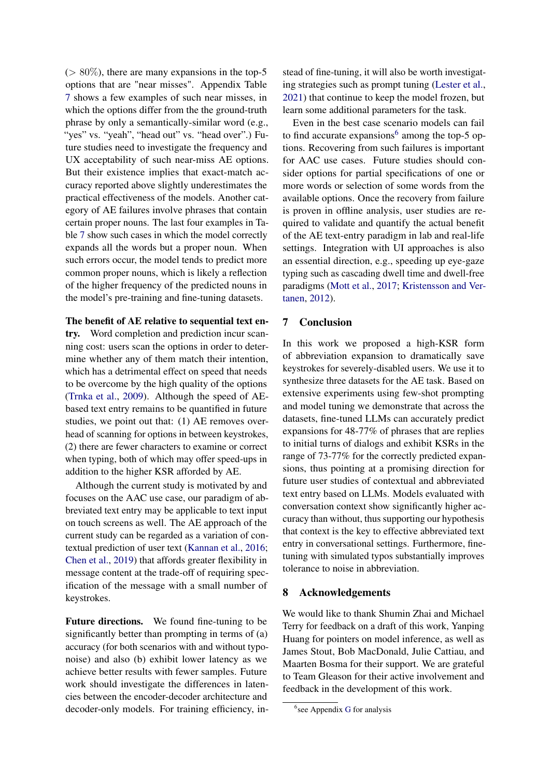$(> 80\%)$ , there are many expansions in the top-5 options that are "near misses". Appendix Table [7](#page-13-0) shows a few examples of such near misses, in which the options differ from the the ground-truth phrase by only a semantically-similar word (e.g., "yes" vs. "yeah", "head out" vs. "head over".) Future studies need to investigate the frequency and UX acceptability of such near-miss AE options. But their existence implies that exact-match accuracy reported above slightly underestimates the practical effectiveness of the models. Another category of AE failures involve phrases that contain certain proper nouns. The last four examples in Table [7](#page-13-0) show such cases in which the model correctly expands all the words but a proper noun. When such errors occur, the model tends to predict more common proper nouns, which is likely a reflection of the higher frequency of the predicted nouns in the model's pre-training and fine-tuning datasets.

### The benefit of AE relative to sequential text en-

try. Word completion and prediction incur scanning cost: users scan the options in order to determine whether any of them match their intention, which has a detrimental effect on speed that needs to be overcome by the high quality of the options [\(Trnka et al.,](#page-11-11) [2009\)](#page-11-11). Although the speed of AEbased text entry remains to be quantified in future studies, we point out that: (1) AE removes overhead of scanning for options in between keystrokes, (2) there are fewer characters to examine or correct when typing, both of which may offer speed-ups in addition to the higher KSR afforded by AE.

Although the current study is motivated by and focuses on the AAC use case, our paradigm of abbreviated text entry may be applicable to text input on touch screens as well. The AE approach of the current study can be regarded as a variation of contextual prediction of user text [\(Kannan et al.,](#page-10-8) [2016;](#page-10-8) [Chen et al.,](#page-10-9) [2019\)](#page-10-9) that affords greater flexibility in message content at the trade-off of requiring specification of the message with a small number of keystrokes.

Future directions. We found fine-tuning to be significantly better than prompting in terms of (a) accuracy (for both scenarios with and without typonoise) and also (b) exhibit lower latency as we achieve better results with fewer samples. Future work should investigate the differences in latencies between the encoder-decoder architecture and decoder-only models. For training efficiency, instead of fine-tuning, it will also be worth investigating strategies such as prompt tuning [\(Lester et al.,](#page-10-7) [2021\)](#page-10-7) that continue to keep the model frozen, but learn some additional parameters for the task.

Even in the best case scenario models can fail to find accurate expansions<sup>[6](#page-8-0)</sup> among the top-5 options. Recovering from such failures is important for AAC use cases. Future studies should consider options for partial specifications of one or more words or selection of some words from the available options. Once the recovery from failure is proven in offline analysis, user studies are required to validate and quantify the actual benefit of the AE text-entry paradigm in lab and real-life settings. Integration with UI approaches is also an essential direction, e.g., speeding up eye-gaze typing such as cascading dwell time and dwell-free paradigms [\(Mott et al.,](#page-10-19) [2017;](#page-10-19) [Kristensson and Ver](#page-10-20)[tanen,](#page-10-20) [2012\)](#page-10-20).

## 7 Conclusion

In this work we proposed a high-KSR form of abbreviation expansion to dramatically save keystrokes for severely-disabled users. We use it to synthesize three datasets for the AE task. Based on extensive experiments using few-shot prompting and model tuning we demonstrate that across the datasets, fine-tuned LLMs can accurately predict expansions for 48-77% of phrases that are replies to initial turns of dialogs and exhibit KSRs in the range of 73-77% for the correctly predicted expansions, thus pointing at a promising direction for future user studies of contextual and abbreviated text entry based on LLMs. Models evaluated with conversation context show significantly higher accuracy than without, thus supporting our hypothesis that context is the key to effective abbreviated text entry in conversational settings. Furthermore, finetuning with simulated typos substantially improves tolerance to noise in abbreviation.

### 8 Acknowledgements

We would like to thank Shumin Zhai and Michael Terry for feedback on a draft of this work, Yanping Huang for pointers on model inference, as well as James Stout, Bob MacDonald, Julie Cattiau, and Maarten Bosma for their support. We are grateful to Team Gleason for their active involvement and feedback in the development of this work.

<span id="page-8-0"></span><sup>&</sup>lt;sup>6</sup>see Appendix [G](#page-12-5) for analysis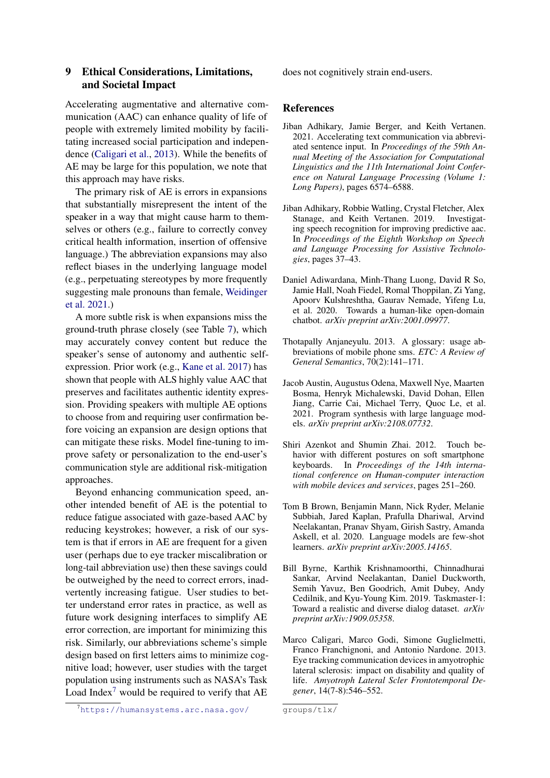# 9 Ethical Considerations, Limitations, and Societal Impact

Accelerating augmentative and alternative communication (AAC) can enhance quality of life of people with extremely limited mobility by facilitating increased social participation and independence [\(Caligari et al.,](#page-9-8) [2013\)](#page-9-8). While the benefits of AE may be large for this population, we note that this approach may have risks.

The primary risk of AE is errors in expansions that substantially misrepresent the intent of the speaker in a way that might cause harm to themselves or others (e.g., failure to correctly convey critical health information, insertion of offensive language.) The abbreviation expansions may also reflect biases in the underlying language model (e.g., perpetuating stereotypes by more frequently suggesting male pronouns than female, [Weidinger](#page-11-12) [et al.](#page-11-12) [2021.](#page-11-12))

A more subtle risk is when expansions miss the ground-truth phrase closely (see Table [7\)](#page-13-0), which may accurately convey content but reduce the speaker's sense of autonomy and authentic selfexpression. Prior work (e.g., [Kane et al.](#page-10-21) [2017\)](#page-10-21) has shown that people with ALS highly value AAC that preserves and facilitates authentic identity expression. Providing speakers with multiple AE options to choose from and requiring user confirmation before voicing an expansion are design options that can mitigate these risks. Model fine-tuning to improve safety or personalization to the end-user's communication style are additional risk-mitigation approaches.

Beyond enhancing communication speed, another intended benefit of AE is the potential to reduce fatigue associated with gaze-based AAC by reducing keystrokes; however, a risk of our system is that if errors in AE are frequent for a given user (perhaps due to eye tracker miscalibration or long-tail abbreviation use) then these savings could be outweighed by the need to correct errors, inadvertently increasing fatigue. User studies to better understand error rates in practice, as well as future work designing interfaces to simplify AE error correction, are important for minimizing this risk. Similarly, our abbreviations scheme's simple design based on first letters aims to minimize cognitive load; however, user studies with the target population using instruments such as NASA's Task Load Index<sup>[7](#page-9-9)</sup> would be required to verify that  $AE$ 

[does not cognitively strain end-users.](https://humansystems.arc.nasa.gov/groups/tlx/)

#### [References](https://humansystems.arc.nasa.gov/groups/tlx/)

- <span id="page-9-1"></span>Ji[ban Adhikary, Jamie Berger, and Keith Vertanen.](https://humansystems.arc.nasa.gov/groups/tlx/) [2021. Accelerating text communication via abbrevi](https://humansystems.arc.nasa.gov/groups/tlx/)ated sentence input. In *[Proceedings of the 59th An](https://humansystems.arc.nasa.gov/groups/tlx/)[nual Meeting of the Association for Computational](https://humansystems.arc.nasa.gov/groups/tlx/) [Linguistics and the 11th International Joint Confer](https://humansystems.arc.nasa.gov/groups/tlx/)[ence on Natural Language Processing \(Volume 1:](https://humansystems.arc.nasa.gov/groups/tlx/) Long Papers)*[, pages 6574–6588.](https://humansystems.arc.nasa.gov/groups/tlx/)
- <span id="page-9-5"></span>Ji[ban Adhikary, Robbie Watling, Crystal Fletcher, Alex](https://humansystems.arc.nasa.gov/groups/tlx/) [Stanage, and Keith Vertanen. 2019. Investigat](https://humansystems.arc.nasa.gov/groups/tlx/)[ing speech recognition for improving predictive aac.](https://humansystems.arc.nasa.gov/groups/tlx/) In *[Proceedings of the Eighth Workshop on Speech](https://humansystems.arc.nasa.gov/groups/tlx/) [and Language Processing for Assistive Technolo](https://humansystems.arc.nasa.gov/groups/tlx/)gies*[, pages 37–43.](https://humansystems.arc.nasa.gov/groups/tlx/)
- <span id="page-9-3"></span>D[aniel Adiwardana, Minh-Thang Luong, David R So,](https://humansystems.arc.nasa.gov/groups/tlx/) [Jamie Hall, Noah Fiedel, Romal Thoppilan, Zi Yang,](https://humansystems.arc.nasa.gov/groups/tlx/) [Apoorv Kulshreshtha, Gaurav Nemade, Yifeng Lu,](https://humansystems.arc.nasa.gov/groups/tlx/) [et al. 2020. Towards a human-like open-domain](https://humansystems.arc.nasa.gov/groups/tlx/) chatbot. *[arXiv preprint arXiv:2001.09977](https://humansystems.arc.nasa.gov/groups/tlx/)*.
- <span id="page-9-0"></span>T[hotapally Anjaneyulu. 2013. A glossary: usage ab](https://humansystems.arc.nasa.gov/groups/tlx/)[breviations of mobile phone sms.](https://humansystems.arc.nasa.gov/groups/tlx/) *ETC: A Review of [General Semantics](https://humansystems.arc.nasa.gov/groups/tlx/)*, 70(2):141–171.
- <span id="page-9-4"></span>Ja[cob Austin, Augustus Odena, Maxwell Nye, Maarten](https://humansystems.arc.nasa.gov/groups/tlx/) [Bosma, Henryk Michalewski, David Dohan, Ellen](https://humansystems.arc.nasa.gov/groups/tlx/) [Jiang, Carrie Cai, Michael Terry, Quoc Le, et al.](https://humansystems.arc.nasa.gov/groups/tlx/) [2021. Program synthesis with large language mod](https://humansystems.arc.nasa.gov/groups/tlx/)els. *[arXiv preprint arXiv:2108.07732](https://humansystems.arc.nasa.gov/groups/tlx/)*.
- <span id="page-9-7"></span>S[hiri Azenkot and Shumin Zhai. 2012. Touch be](https://humansystems.arc.nasa.gov/groups/tlx/)[havior with different postures on soft smartphone](https://humansystems.arc.nasa.gov/groups/tlx/) keyboards. In *[Proceedings of the 14th interna](https://humansystems.arc.nasa.gov/groups/tlx/)[tional conference on Human-computer interaction](https://humansystems.arc.nasa.gov/groups/tlx/) [with mobile devices and services](https://humansystems.arc.nasa.gov/groups/tlx/)*, pages 251–260.
- <span id="page-9-2"></span>T[om B Brown, Benjamin Mann, Nick Ryder, Melanie](https://humansystems.arc.nasa.gov/groups/tlx/) [Subbiah, Jared Kaplan, Prafulla Dhariwal, Arvind](https://humansystems.arc.nasa.gov/groups/tlx/) [Neelakantan, Pranav Shyam, Girish Sastry, Amanda](https://humansystems.arc.nasa.gov/groups/tlx/) [Askell, et al. 2020. Language models are few-shot](https://humansystems.arc.nasa.gov/groups/tlx/) learners. *[arXiv preprint arXiv:2005.14165](https://humansystems.arc.nasa.gov/groups/tlx/)*.
- <span id="page-9-6"></span>Bi[ll Byrne, Karthik Krishnamoorthi, Chinnadhurai](https://humansystems.arc.nasa.gov/groups/tlx/) [Sankar, Arvind Neelakantan, Daniel Duckworth,](https://humansystems.arc.nasa.gov/groups/tlx/) [Semih Yavuz, Ben Goodrich, Amit Dubey, Andy](https://humansystems.arc.nasa.gov/groups/tlx/) [Cedilnik, and Kyu-Young Kim. 2019. Taskmaster-1:](https://humansystems.arc.nasa.gov/groups/tlx/) [Toward a realistic and diverse dialog dataset.](https://humansystems.arc.nasa.gov/groups/tlx/) *arXiv [preprint arXiv:1909.05358](https://humansystems.arc.nasa.gov/groups/tlx/)*.
- <span id="page-9-8"></span>M[arco Caligari, Marco Godi, Simone Guglielmetti,](https://humansystems.arc.nasa.gov/groups/tlx/) [Franco Franchignoni, and Antonio Nardone. 2013.](https://humansystems.arc.nasa.gov/groups/tlx/) [Eye tracking communication devices in amyotrophic](https://humansystems.arc.nasa.gov/groups/tlx/) [lateral sclerosis: impact on disability and quality of](https://humansystems.arc.nasa.gov/groups/tlx/) life. *[Amyotroph Lateral Scler Frontotemporal De](https://humansystems.arc.nasa.gov/groups/tlx/)gener*[, 14\(7-8\):546–552.](https://humansystems.arc.nasa.gov/groups/tlx/)

<span id="page-9-9"></span><sup>7</sup>[https://humansystems.arc.nasa.gov/](https://humansystems.arc.nasa.gov/groups/tlx/)

[groups/tlx/](https://humansystems.arc.nasa.gov/groups/tlx/)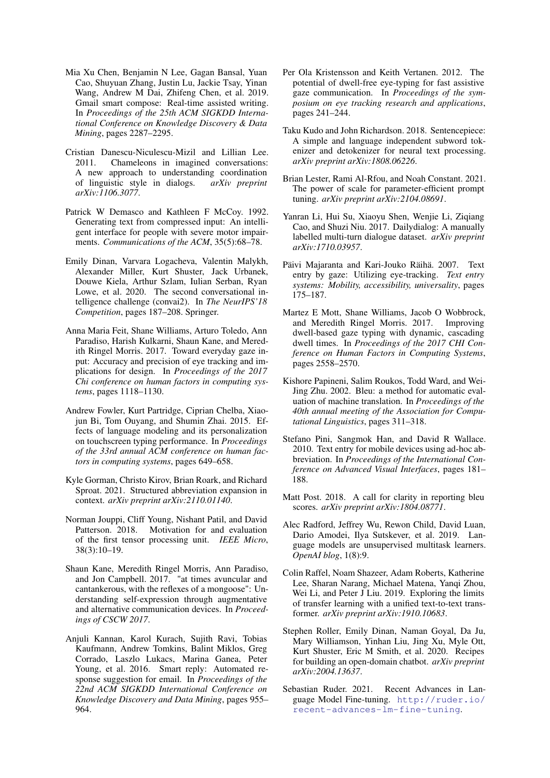- <span id="page-10-9"></span>Mia Xu Chen, Benjamin N Lee, Gagan Bansal, Yuan Cao, Shuyuan Zhang, Justin Lu, Jackie Tsay, Yinan Wang, Andrew M Dai, Zhifeng Chen, et al. 2019. Gmail smart compose: Real-time assisted writing. In *Proceedings of the 25th ACM SIGKDD International Conference on Knowledge Discovery & Data Mining*, pages 2287–2295.
- <span id="page-10-13"></span>Cristian Danescu-Niculescu-Mizil and Lillian Lee. 2011. Chameleons in imagined conversations: A new approach to understanding coordination of linguistic style in dialogs. *arXiv preprint arXiv:1106.3077*.
- <span id="page-10-1"></span>Patrick W Demasco and Kathleen F McCoy. 1992. Generating text from compressed input: An intelligent interface for people with severe motor impairments. *Communications of the ACM*, 35(5):68–78.
- <span id="page-10-11"></span>Emily Dinan, Varvara Logacheva, Valentin Malykh, Alexander Miller, Kurt Shuster, Jack Urbanek, Douwe Kiela, Arthur Szlam, Iulian Serban, Ryan Lowe, et al. 2020. The second conversational intelligence challenge (convai2). In *The NeurIPS'18 Competition*, pages 187–208. Springer.
- <span id="page-10-14"></span>Anna Maria Feit, Shane Williams, Arturo Toledo, Ann Paradiso, Harish Kulkarni, Shaun Kane, and Meredith Ringel Morris. 2017. Toward everyday gaze input: Accuracy and precision of eye tracking and implications for design. In *Proceedings of the 2017 Chi conference on human factors in computing systems*, pages 1118–1130.
- <span id="page-10-0"></span>Andrew Fowler, Kurt Partridge, Ciprian Chelba, Xiaojun Bi, Tom Ouyang, and Shumin Zhai. 2015. Effects of language modeling and its personalization on touchscreen typing performance. In *Proceedings of the 33rd annual ACM conference on human factors in computing systems*, pages 649–658.
- <span id="page-10-3"></span>Kyle Gorman, Christo Kirov, Brian Roark, and Richard Sproat. 2021. Structured abbreviation expansion in context. *arXiv preprint arXiv:2110.01140*.
- <span id="page-10-22"></span>Norman Jouppi, Cliff Young, Nishant Patil, and David Patterson. 2018. Motivation for and evaluation of the first tensor processing unit. *IEEE Micro*, 38(3):10–19.
- <span id="page-10-21"></span>Shaun Kane, Meredith Ringel Morris, Ann Paradiso, and Jon Campbell. 2017. "at times avuncular and cantankerous, with the reflexes of a mongoose": Understanding self-expression through augmentative and alternative communication devices. In *Proceedings of CSCW 2017*.
- <span id="page-10-8"></span>Anjuli Kannan, Karol Kurach, Sujith Ravi, Tobias Kaufmann, Andrew Tomkins, Balint Miklos, Greg Corrado, Laszlo Lukacs, Marina Ganea, Peter Young, et al. 2016. Smart reply: Automated response suggestion for email. In *Proceedings of the 22nd ACM SIGKDD International Conference on Knowledge Discovery and Data Mining*, pages 955– 964.
- <span id="page-10-20"></span>Per Ola Kristensson and Keith Vertanen. 2012. The potential of dwell-free eye-typing for fast assistive gaze communication. In *Proceedings of the symposium on eye tracking research and applications*, pages 241–244.
- <span id="page-10-15"></span>Taku Kudo and John Richardson. 2018. Sentencepiece: A simple and language independent subword tokenizer and detokenizer for neural text processing. *arXiv preprint arXiv:1808.06226*.
- <span id="page-10-7"></span>Brian Lester, Rami Al-Rfou, and Noah Constant. 2021. The power of scale for parameter-efficient prompt tuning. *arXiv preprint arXiv:2104.08691*.
- <span id="page-10-12"></span>Yanran Li, Hui Su, Xiaoyu Shen, Wenjie Li, Ziqiang Cao, and Shuzi Niu. 2017. Dailydialog: A manually labelled multi-turn dialogue dataset. *arXiv preprint arXiv:1710.03957*.
- <span id="page-10-18"></span>Päivi Majaranta and Kari-Jouko Räihä. 2007. Text entry by gaze: Utilizing eye-tracking. *Text entry systems: Mobility, accessibility, universality*, pages 175–187.
- <span id="page-10-19"></span>Martez E Mott, Shane Williams, Jacob O Wobbrock, and Meredith Ringel Morris. 2017. Improving dwell-based gaze typing with dynamic, cascading dwell times. In *Proceedings of the 2017 CHI Conference on Human Factors in Computing Systems*, pages 2558–2570.
- <span id="page-10-16"></span>Kishore Papineni, Salim Roukos, Todd Ward, and Wei-Jing Zhu. 2002. Bleu: a method for automatic evaluation of machine translation. In *Proceedings of the 40th annual meeting of the Association for Computational Linguistics*, pages 311–318.
- <span id="page-10-2"></span>Stefano Pini, Sangmok Han, and David R Wallace. 2010. Text entry for mobile devices using ad-hoc abbreviation. In *Proceedings of the International Conference on Advanced Visual Interfaces*, pages 181– 188.
- <span id="page-10-17"></span>Matt Post. 2018. A call for clarity in reporting bleu scores. *arXiv preprint arXiv:1804.08771*.
- <span id="page-10-10"></span>Alec Radford, Jeffrey Wu, Rewon Child, David Luan, Dario Amodei, Ilya Sutskever, et al. 2019. Language models are unsupervised multitask learners. *OpenAI blog*, 1(8):9.
- <span id="page-10-4"></span>Colin Raffel, Noam Shazeer, Adam Roberts, Katherine Lee, Sharan Narang, Michael Matena, Yanqi Zhou, Wei Li, and Peter J Liu. 2019. Exploring the limits of transfer learning with a unified text-to-text transformer. *arXiv preprint arXiv:1910.10683*.
- <span id="page-10-5"></span>Stephen Roller, Emily Dinan, Naman Goyal, Da Ju, Mary Williamson, Yinhan Liu, Jing Xu, Myle Ott, Kurt Shuster, Eric M Smith, et al. 2020. Recipes for building an open-domain chatbot. *arXiv preprint arXiv:2004.13637*.
- <span id="page-10-6"></span>Sebastian Ruder. 2021. Recent Advances in Language Model Fine-tuning. [http://ruder.io/](http://ruder.io/recent-advances-lm-fine-tuning) [recent-advances-lm-fine-tuning](http://ruder.io/recent-advances-lm-fine-tuning).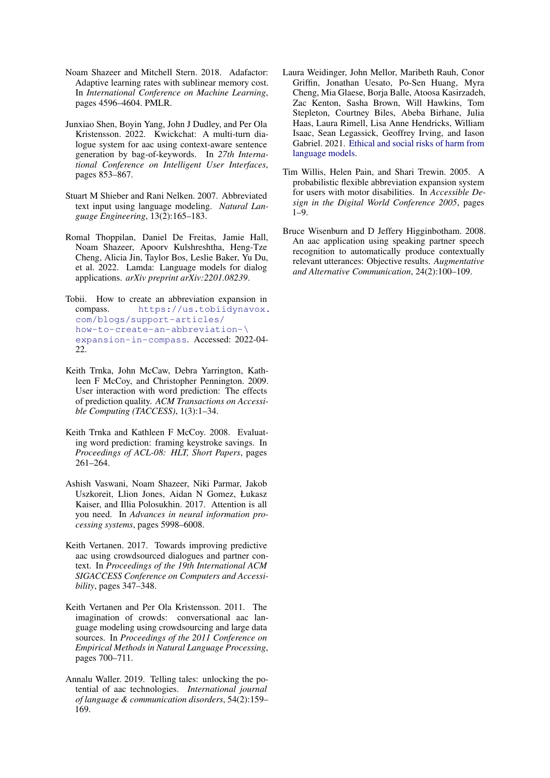- <span id="page-11-13"></span>Noam Shazeer and Mitchell Stern. 2018. Adafactor: Adaptive learning rates with sublinear memory cost. In *International Conference on Machine Learning*, pages 4596–4604. PMLR.
- <span id="page-11-6"></span>Junxiao Shen, Boyin Yang, John J Dudley, and Per Ola Kristensson. 2022. Kwickchat: A multi-turn dialogue system for aac using context-aware sentence generation by bag-of-keywords. In *27th International Conference on Intelligent User Interfaces*, pages 853–867.
- <span id="page-11-3"></span>Stuart M Shieber and Rani Nelken. 2007. Abbreviated text input using language modeling. *Natural Language Engineering*, 13(2):165–183.
- <span id="page-11-10"></span>Romal Thoppilan, Daniel De Freitas, Jamie Hall, Noam Shazeer, Apoorv Kulshreshtha, Heng-Tze Cheng, Alicia Jin, Taylor Bos, Leslie Baker, Yu Du, et al. 2022. Lamda: Language models for dialog applications. *arXiv preprint arXiv:2201.08239*.
- <span id="page-11-2"></span>Tobii. How to create an abbreviation expansion in compass. [https://us.tobiidynavox.](https://us.tobiidynavox.com/blogs/support-articles/how-to-create-an-abbreviation- \ expansion-in-compass) [com/blogs/support-articles/](https://us.tobiidynavox.com/blogs/support-articles/how-to-create-an-abbreviation- \ expansion-in-compass) [how-to-create-an-abbreviation-\](https://us.tobiidynavox.com/blogs/support-articles/how-to-create-an-abbreviation- \ expansion-in-compass) [expansion-in-compass](https://us.tobiidynavox.com/blogs/support-articles/how-to-create-an-abbreviation- \ expansion-in-compass). Accessed: 2022-04- 22.
- <span id="page-11-11"></span>Keith Trnka, John McCaw, Debra Yarrington, Kathleen F McCoy, and Christopher Pennington. 2009. User interaction with word prediction: The effects of prediction quality. *ACM Transactions on Accessible Computing (TACCESS)*, 1(3):1–34.
- <span id="page-11-0"></span>Keith Trnka and Kathleen F McCoy. 2008. Evaluating word prediction: framing keystroke savings. In *Proceedings of ACL-08: HLT, Short Papers*, pages 261–264.
- <span id="page-11-9"></span>Ashish Vaswani, Noam Shazeer, Niki Parmar, Jakob Uszkoreit, Llion Jones, Aidan N Gomez, Łukasz Kaiser, and Illia Polosukhin. 2017. Attention is all you need. In *Advances in neural information processing systems*, pages 5998–6008.
- <span id="page-11-7"></span>Keith Vertanen. 2017. Towards improving predictive aac using crowdsourced dialogues and partner context. In *Proceedings of the 19th International ACM SIGACCESS Conference on Computers and Accessibility*, pages 347–348.
- <span id="page-11-8"></span>Keith Vertanen and Per Ola Kristensson. 2011. The imagination of crowds: conversational aac language modeling using crowdsourcing and large data sources. In *Proceedings of the 2011 Conference on Empirical Methods in Natural Language Processing*, pages 700–711.
- <span id="page-11-1"></span>Annalu Waller. 2019. Telling tales: unlocking the potential of aac technologies. *International journal of language & communication disorders*, 54(2):159– 169.
- <span id="page-11-12"></span>Laura Weidinger, John Mellor, Maribeth Rauh, Conor Griffin, Jonathan Uesato, Po-Sen Huang, Myra Cheng, Mia Glaese, Borja Balle, Atoosa Kasirzadeh, Zac Kenton, Sasha Brown, Will Hawkins, Tom Stepleton, Courtney Biles, Abeba Birhane, Julia Haas, Laura Rimell, Lisa Anne Hendricks, William Isaac, Sean Legassick, Geoffrey Irving, and Iason Gabriel. 2021. [Ethical and social risks of harm from](http://arxiv.org/abs/2112.04359) [language models.](http://arxiv.org/abs/2112.04359)
- <span id="page-11-4"></span>Tim Willis, Helen Pain, and Shari Trewin. 2005. A probabilistic flexible abbreviation expansion system for users with motor disabilities. In *Accessible Design in the Digital World Conference 2005*, pages 1–9.
- <span id="page-11-5"></span>Bruce Wisenburn and D Jeffery Higginbotham. 2008. An aac application using speaking partner speech recognition to automatically produce contextually relevant utterances: Objective results. *Augmentative and Alternative Communication*, 24(2):100–109.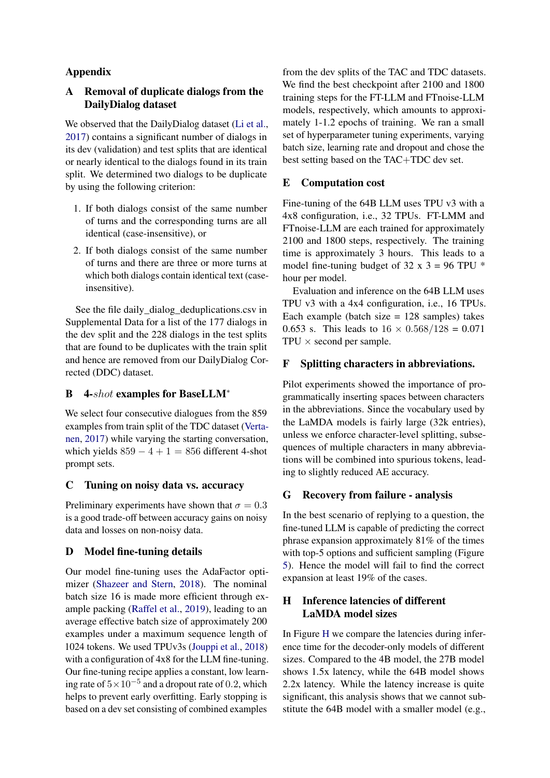# Appendix

## <span id="page-12-0"></span>A Removal of duplicate dialogs from the DailyDialog dataset

We observed that the DailyDialog dataset [\(Li et al.,](#page-10-12) [2017\)](#page-10-12) contains a significant number of dialogs in its dev (validation) and test splits that are identical or nearly identical to the dialogs found in its train split. We determined two dialogs to be duplicate by using the following criterion:

- 1. If both dialogs consist of the same number of turns and the corresponding turns are all identical (case-insensitive), or
- 2. If both dialogs consist of the same number of turns and there are three or more turns at which both dialogs contain identical text (caseinsensitive).

See the file daily\_dialog\_deduplications.csv in Supplemental Data for a list of the 177 dialogs in the dev split and the 228 dialogs in the test splits that are found to be duplicates with the train split and hence are removed from our DailyDialog Corrected (DDC) dataset.

## <span id="page-12-1"></span>B 4-shot examples for BaseLLM<sup>\*</sup>

We select four consecutive dialogues from the 859 examples from train split of the TDC dataset [\(Verta](#page-11-7)[nen,](#page-11-7) [2017\)](#page-11-7) while varying the starting conversation, which yields  $859 - 4 + 1 = 856$  different 4-shot prompt sets.

## <span id="page-12-2"></span>C Tuning on noisy data vs. accuracy

Preliminary experiments have shown that  $\sigma = 0.3$ is a good trade-off between accuracy gains on noisy data and losses on non-noisy data.

## <span id="page-12-3"></span>D Model fine-tuning details

Our model fine-tuning uses the AdaFactor optimizer [\(Shazeer and Stern,](#page-11-13) [2018\)](#page-11-13). The nominal batch size 16 is made more efficient through example packing [\(Raffel et al.,](#page-10-4) [2019\)](#page-10-4), leading to an average effective batch size of approximately 200 examples under a maximum sequence length of 1024 tokens. We used TPUv3s [\(Jouppi et al.,](#page-10-22) [2018\)](#page-10-22) with a configuration of 4x8 for the LLM fine-tuning. Our fine-tuning recipe applies a constant, low learning rate of  $5 \times 10^{-5}$  and a dropout rate of 0.2, which helps to prevent early overfitting. Early stopping is based on a dev set consisting of combined examples

from the dev splits of the TAC and TDC datasets. We find the best checkpoint after 2100 and 1800 training steps for the FT-LLM and FTnoise-LLM models, respectively, which amounts to approximately 1-1.2 epochs of training. We ran a small set of hyperparameter tuning experiments, varying batch size, learning rate and dropout and chose the best setting based on the TAC+TDC dev set.

### E Computation cost

Fine-tuning of the 64B LLM uses TPU v3 with a 4x8 configuration, i.e., 32 TPUs. FT-LMM and FTnoise-LLM are each trained for approximately 2100 and 1800 steps, respectively. The training time is approximately 3 hours. This leads to a model fine-tuning budget of 32 x  $3 = 96$  TPU  $*$ hour per model.

Evaluation and inference on the 64B LLM uses TPU v3 with a 4x4 configuration, i.e., 16 TPUs. Each example (batch size  $= 128$  samples) takes 0.653 s. This leads to  $16 \times 0.568/128 = 0.071$  $TPU \times$  second per sample.

### <span id="page-12-4"></span>F Splitting characters in abbreviations.

Pilot experiments showed the importance of programmatically inserting spaces between characters in the abbreviations. Since the vocabulary used by the LaMDA models is fairly large (32k entries), unless we enforce character-level splitting, subsequences of multiple characters in many abbreviations will be combined into spurious tokens, leading to slightly reduced AE accuracy.

### <span id="page-12-5"></span>G Recovery from failure - analysis

In the best scenario of replying to a question, the fine-tuned LLM is capable of predicting the correct phrase expansion approximately 81% of the times with top-5 options and sufficient sampling (Figure [5\)](#page-6-3). Hence the model will fail to find the correct expansion at least 19% of the cases.

# <span id="page-12-6"></span>H Inference latencies of different LaMDA model sizes

In Figure [H](#page-12-6) we compare the latencies during inference time for the decoder-only models of different sizes. Compared to the 4B model, the 27B model shows 1.5x latency, while the 64B model shows 2.2x latency. While the latency increase is quite significant, this analysis shows that we cannot substitute the 64B model with a smaller model (e.g.,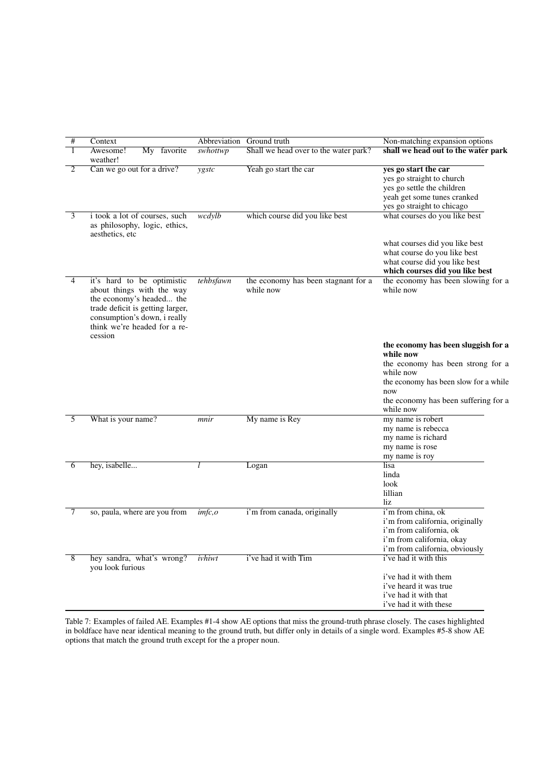<span id="page-13-0"></span>

| # | Context                                                                                                                                                                                            | Abbreviation | Ground truth                                     | Non-matching expansion options                                                                                                                     |
|---|----------------------------------------------------------------------------------------------------------------------------------------------------------------------------------------------------|--------------|--------------------------------------------------|----------------------------------------------------------------------------------------------------------------------------------------------------|
| 1 | Awesome!<br>My favorite<br>weather!                                                                                                                                                                | swhottwp     | Shall we head over to the water park?            | shall we head out to the water park                                                                                                                |
| 2 | Can we go out for a drive?                                                                                                                                                                         | ygstc        | Yeah go start the car                            | yes go start the car<br>yes go straight to church<br>yes go settle the children<br>yeah get some tunes cranked<br>yes go straight to chicago       |
| 3 | i took a lot of courses, such<br>as philosophy, logic, ethics,<br>aesthetics, etc.                                                                                                                 | wcdylb       | which course did you like best                   | what courses do you like best                                                                                                                      |
|   |                                                                                                                                                                                                    |              |                                                  | what courses did you like best<br>what course do you like best<br>what course did you like best<br>which courses did you like best                 |
| 4 | it's hard to be optimistic<br>about things with the way<br>the economy's headed the<br>trade deficit is getting larger,<br>consumption's down, i really<br>think we're headed for a re-<br>cession | tehbsfawn    | the economy has been stagnant for a<br>while now | the economy has been slowing for a<br>while now                                                                                                    |
|   |                                                                                                                                                                                                    |              |                                                  | the economy has been sluggish for a<br>while now<br>the economy has been strong for a<br>while now<br>the economy has been slow for a while<br>now |
|   |                                                                                                                                                                                                    |              |                                                  | the economy has been suffering for a<br>while now                                                                                                  |
| 5 | What is your name?                                                                                                                                                                                 | mnir         | My name is Rey                                   | my name is robert<br>my name is rebecca<br>my name is richard<br>my name is rose<br>my name is roy                                                 |
| 6 | hey, isabelle                                                                                                                                                                                      | l            | Logan                                            | lisa<br>linda<br>look<br>lillian<br>liz.                                                                                                           |
| 7 | so, paula, where are you from                                                                                                                                                                      | imfc, o      | i'm from canada, originally                      | i'm from china, ok<br>i'm from california, originally<br>i'm from california, ok<br>i'm from california, okay<br>i'm from california, obviously    |
| 8 | hey sandra, what's wrong?<br>you look furious                                                                                                                                                      | ivhiwt       | i've had it with Tim                             | i've had it with this<br>i've had it with them<br>i've heard it was true<br>i've had it with that<br>i've had it with these                        |

Table 7: Examples of failed AE. Examples #1-4 show AE options that miss the ground-truth phrase closely. The cases highlighted in boldface have near identical meaning to the ground truth, but differ only in details of a single word. Examples #5-8 show AE options that match the ground truth except for the a proper noun.